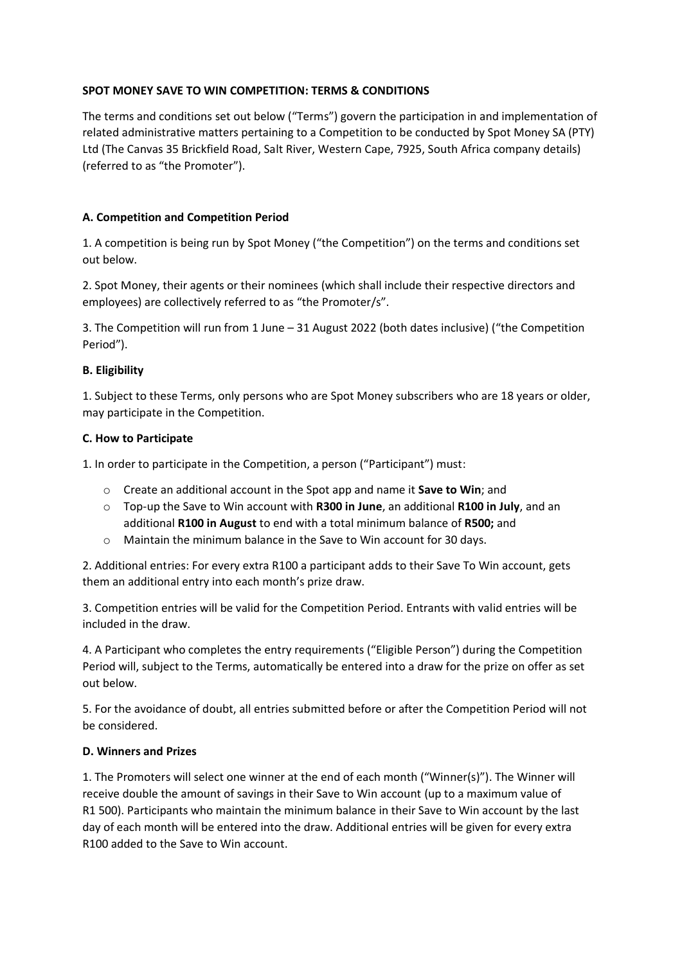# **SPOT MONEY SAVE TO WIN COMPETITION: TERMS & CONDITIONS**

The terms and conditions set out below ("Terms") govern the participation in and implementation of related administrative matters pertaining to a Competition to be conducted by Spot Money SA (PTY) Ltd (The Canvas 35 Brickfield Road, Salt River, Western Cape, 7925, South Africa company details) (referred to as "the Promoter").

# **A. Competition and Competition Period**

1. A competition is being run by Spot Money ("the Competition") on the terms and conditions set out below.

2. Spot Money, their agents or their nominees (which shall include their respective directors and employees) are collectively referred to as "the Promoter/s".

3. The Competition will run from 1 June – 31 August 2022 (both dates inclusive) ("the Competition Period").

## **B. Eligibility**

1. Subject to these Terms, only persons who are Spot Money subscribers who are 18 years or older, may participate in the Competition.

#### **C. How to Participate**

1. In order to participate in the Competition, a person ("Participant") must:

- o Create an additional account in the Spot app and name it **Save to Win**; and
- o Top-up the Save to Win account with **R300 in June**, an additional **R100 in July**, and an additional **R100 in August** to end with a total minimum balance of **R500;** and
- $\circ$  Maintain the minimum balance in the Save to Win account for 30 days.

2. Additional entries: For every extra R100 a participant adds to their Save To Win account, gets them an additional entry into each month's prize draw.

3. Competition entries will be valid for the Competition Period. Entrants with valid entries will be included in the draw.

4. A Participant who completes the entry requirements ("Eligible Person") during the Competition Period will, subject to the Terms, automatically be entered into a draw for the prize on offer as set out below.

5. For the avoidance of doubt, all entries submitted before or after the Competition Period will not be considered.

#### **D. Winners and Prizes**

1. The Promoters will select one winner at the end of each month ("Winner(s)"). The Winner will receive double the amount of savings in their Save to Win account (up to a maximum value of R1 500). Participants who maintain the minimum balance in their Save to Win account by the last day of each month will be entered into the draw. Additional entries will be given for every extra R100 added to the Save to Win account.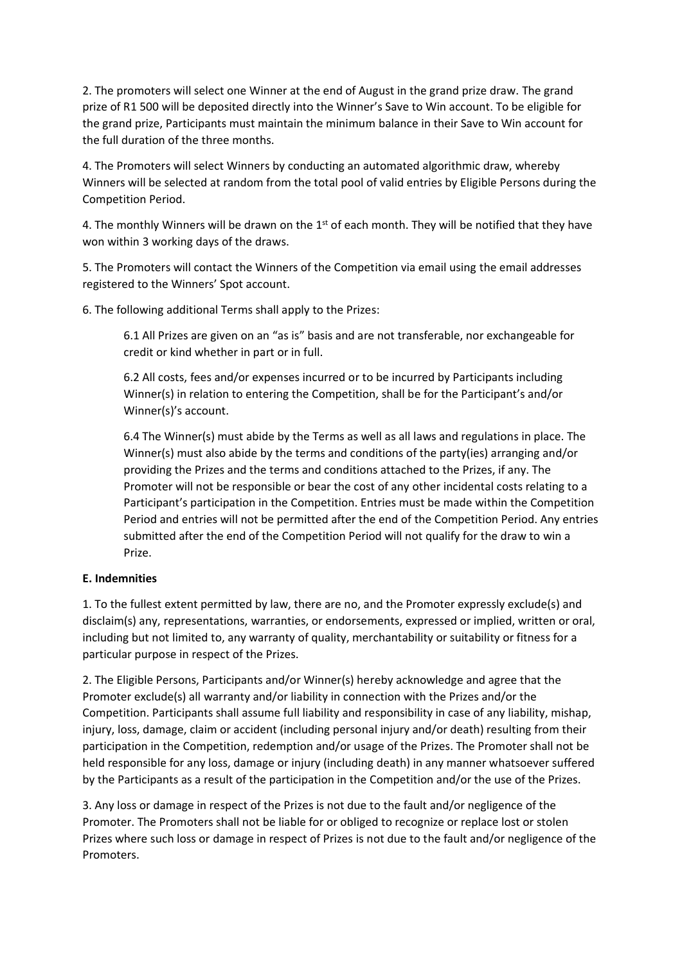2. The promoters will select one Winner at the end of August in the grand prize draw. The grand prize of R1 500 will be deposited directly into the Winner's Save to Win account. To be eligible for the grand prize, Participants must maintain the minimum balance in their Save to Win account for the full duration of the three months.

4. The Promoters will select Winners by conducting an automated algorithmic draw, whereby Winners will be selected at random from the total pool of valid entries by Eligible Persons during the Competition Period.

4. The monthly Winners will be drawn on the  $1<sup>st</sup>$  of each month. They will be notified that they have won within 3 working days of the draws.

5. The Promoters will contact the Winners of the Competition via email using the email addresses registered to the Winners' Spot account.

6. The following additional Terms shall apply to the Prizes:

6.1 All Prizes are given on an "as is" basis and are not transferable, nor exchangeable for credit or kind whether in part or in full.

6.2 All costs, fees and/or expenses incurred or to be incurred by Participants including Winner(s) in relation to entering the Competition, shall be for the Participant's and/or Winner(s)'s account.

6.4 The Winner(s) must abide by the Terms as well as all laws and regulations in place. The Winner(s) must also abide by the terms and conditions of the party(ies) arranging and/or providing the Prizes and the terms and conditions attached to the Prizes, if any. The Promoter will not be responsible or bear the cost of any other incidental costs relating to a Participant's participation in the Competition. Entries must be made within the Competition Period and entries will not be permitted after the end of the Competition Period. Any entries submitted after the end of the Competition Period will not qualify for the draw to win a Prize.

#### **E. Indemnities**

1. To the fullest extent permitted by law, there are no, and the Promoter expressly exclude(s) and disclaim(s) any, representations, warranties, or endorsements, expressed or implied, written or oral, including but not limited to, any warranty of quality, merchantability or suitability or fitness for a particular purpose in respect of the Prizes.

2. The Eligible Persons, Participants and/or Winner(s) hereby acknowledge and agree that the Promoter exclude(s) all warranty and/or liability in connection with the Prizes and/or the Competition. Participants shall assume full liability and responsibility in case of any liability, mishap, injury, loss, damage, claim or accident (including personal injury and/or death) resulting from their participation in the Competition, redemption and/or usage of the Prizes. The Promoter shall not be held responsible for any loss, damage or injury (including death) in any manner whatsoever suffered by the Participants as a result of the participation in the Competition and/or the use of the Prizes.

3. Any loss or damage in respect of the Prizes is not due to the fault and/or negligence of the Promoter. The Promoters shall not be liable for or obliged to recognize or replace lost or stolen Prizes where such loss or damage in respect of Prizes is not due to the fault and/or negligence of the Promoters.